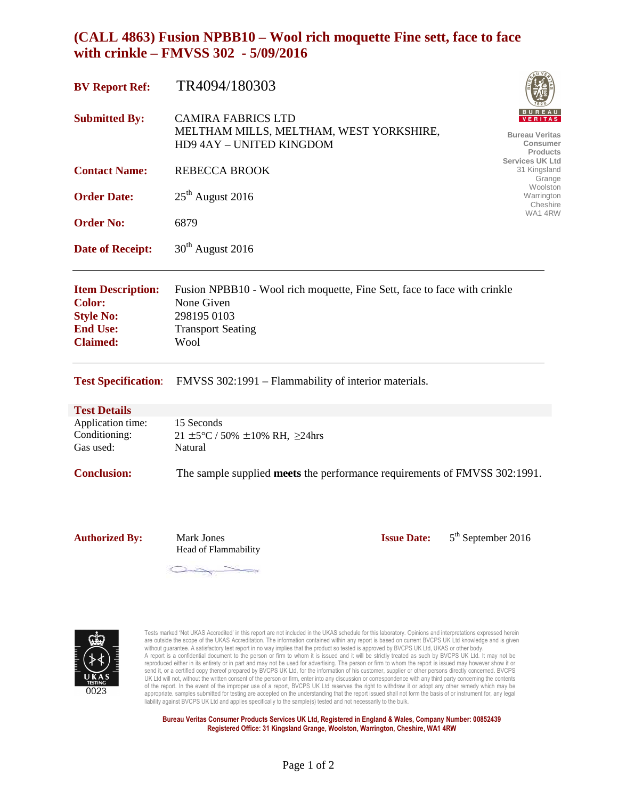# **(CALL 4863) Fusion NPBB10 – Wool rich moquette Fine sett, face to face with crinkle – FMVSS 302 - 5/09/2016**

| <b>BV Report Ref:</b>                                                                               | TR4094/180303                                                                                                                             |                                                                        |
|-----------------------------------------------------------------------------------------------------|-------------------------------------------------------------------------------------------------------------------------------------------|------------------------------------------------------------------------|
| <b>Submitted By:</b>                                                                                | <b>CAMIRA FABRICS LTD</b><br>MELTHAM MILLS, MELTHAM, WEST YORKSHIRE,<br>HD9 4AY - UNITED KINGDOM                                          | <b>VERITAS</b><br><b>Bureau Veritas</b><br>Consumer<br><b>Products</b> |
| <b>Contact Name:</b>                                                                                | REBECCA BROOK                                                                                                                             | <b>Services UK Ltd</b><br>31 Kingsland<br>Grange                       |
| <b>Order Date:</b>                                                                                  | $25th$ August 2016                                                                                                                        | Woolston<br>Warrington<br>Cheshire                                     |
| <b>Order No:</b>                                                                                    | 6879                                                                                                                                      | WA1 4RW                                                                |
| <b>Date of Receipt:</b>                                                                             | $30th$ August 2016                                                                                                                        |                                                                        |
| <b>Item Description:</b><br><b>Color:</b><br><b>Style No:</b><br><b>End Use:</b><br><b>Claimed:</b> | Fusion NPBB10 - Wool rich moquette, Fine Sett, face to face with crinkle<br>None Given<br>298195 0103<br><b>Transport Seating</b><br>Wool |                                                                        |

**Test Specification**: FMVSS 302:1991 – Flammability of interior materials.

#### **Test Details**

| Application time: | 15 Seconds                                            |
|-------------------|-------------------------------------------------------|
| Conditioning:     | $21 \pm 5^{\circ}$ C / 50% $\pm$ 10% RH, $\geq$ 24hrs |
| Gas used:         | Natural                                               |
|                   |                                                       |

**Conclusion:** The sample supplied **meets** the performance requirements of FMVSS 302:1991.

Authorized By: Mark Jones **Issue Date:** Head of Flammability

5<sup>th</sup> September 2016

Tests marked 'Not UKAS Accredited' in this report are not included in the UKAS schedule for this laboratory. Opinions and interpretations expressed herein are outside the scope of the UKAS Accreditation. The information contained within any report is based on current BVCPS UK Ltd knowledge and is given without guarantee. A satisfactory test report in no way implies that the product so tested is approved by BVCPS UK Ltd, UKAS or other body.<br>A report is a confidential document to the person or firm to whom it is issued and reproduced either in its entirety or in part and may not be used for advertising. The person or firm to whom the report is issued may however show it or send it, or a certified copy thereof prepared by BVCPS UK Ltd, for the information of his customer, supplier or other persons directly concerned. BVCPS UK Ltd will not, without the written consent of the person or firm, enter into any discussion or correspondence with any third party concerning the contents of the report. In the event of the improper use of a report, BVCPS UK Ltd reserves the right to withdraw it or adopt any other remedy which may be appropriate. samples submitted for testing are accepted on the understanding that the report issued shall not form the basis of or instrument for, any legal<br>liability against BVCPS UK Ltd and applies specifically to the sa

**Bureau Veritas Consumer Products Services UK Ltd, Registered in England & Wales, Company Number: 00852439 Registered Office: 31 Kingsland Grange, Woolston, Warrington, Cheshire, WA1 4RW**